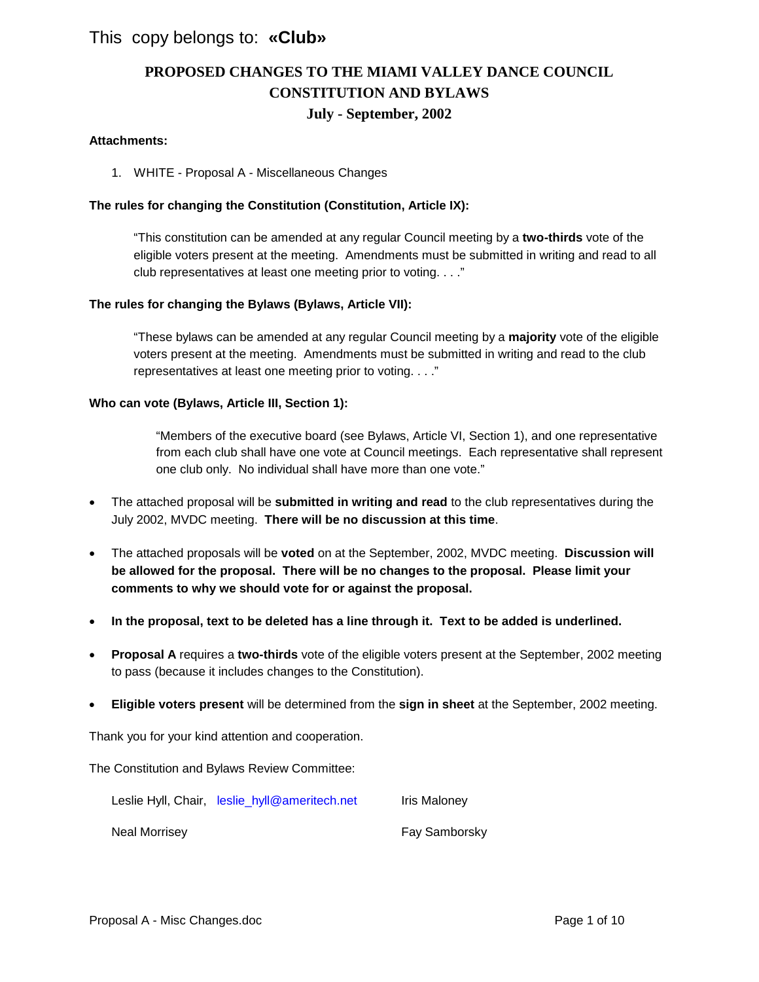### This copy belongs to: **«Club»**

# **PROPOSED CHANGES TO THE MIAMI VALLEY DANCE COUNCIL CONSTITUTION AND BYLAWS July - September, 2002**

#### **Attachments:**

1. WHITE - Proposal A - Miscellaneous Changes

#### **The rules for changing the Constitution (Constitution, Article IX):**

"This constitution can be amended at any regular Council meeting by a **two-thirds** vote of the eligible voters present at the meeting. Amendments must be submitted in writing and read to all club representatives at least one meeting prior to voting. . . ."

#### **The rules for changing the Bylaws (Bylaws, Article VII):**

"These bylaws can be amended at any regular Council meeting by a **majority** vote of the eligible voters present at the meeting. Amendments must be submitted in writing and read to the club representatives at least one meeting prior to voting. . . ."

#### **Who can vote (Bylaws, Article III, Section 1):**

"Members of the executive board (see Bylaws, Article VI, Section 1), and one representative from each club shall have one vote at Council meetings. Each representative shall represent one club only. No individual shall have more than one vote."

- The attached proposal will be **submitted in writing and read** to the club representatives during the July 2002, MVDC meeting. **There will be no discussion at this time**.
- The attached proposals will be **voted** on at the September, 2002, MVDC meeting. **Discussion will be allowed for the proposal. There will be no changes to the proposal. Please limit your comments to why we should vote for or against the proposal.**
- **In the proposal, text to be deleted has a line through it. Text to be added is underlined.**
- **Proposal A** requires a **two-thirds** vote of the eligible voters present at the September, 2002 meeting to pass (because it includes changes to the Constitution).
- **Eligible voters present** will be determined from the **sign in sheet** at the September, 2002 meeting.

Thank you for your kind attention and cooperation.

The Constitution and Bylaws Review Committee:

|               | Leslie Hyll, Chair, leslie_hyll@ameritech.net | Iris Maloney  |
|---------------|-----------------------------------------------|---------------|
| Neal Morrisey |                                               | Fay Samborsky |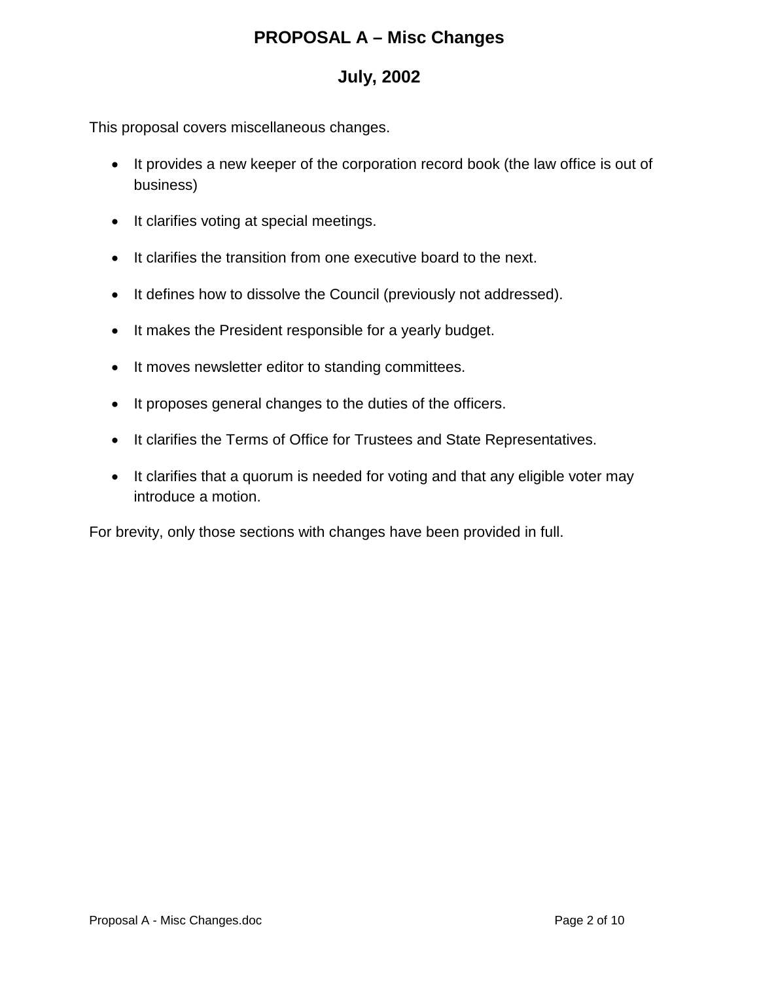# **PROPOSAL A – Misc Changes**

# **July, 2002**

This proposal covers miscellaneous changes.

- It provides a new keeper of the corporation record book (the law office is out of business)
- It clarifies voting at special meetings.
- It clarifies the transition from one executive board to the next.
- It defines how to dissolve the Council (previously not addressed).
- It makes the President responsible for a yearly budget.
- It moves newsletter editor to standing committees.
- It proposes general changes to the duties of the officers.
- It clarifies the Terms of Office for Trustees and State Representatives.
- It clarifies that a quorum is needed for voting and that any eligible voter may introduce a motion.

For brevity, only those sections with changes have been provided in full.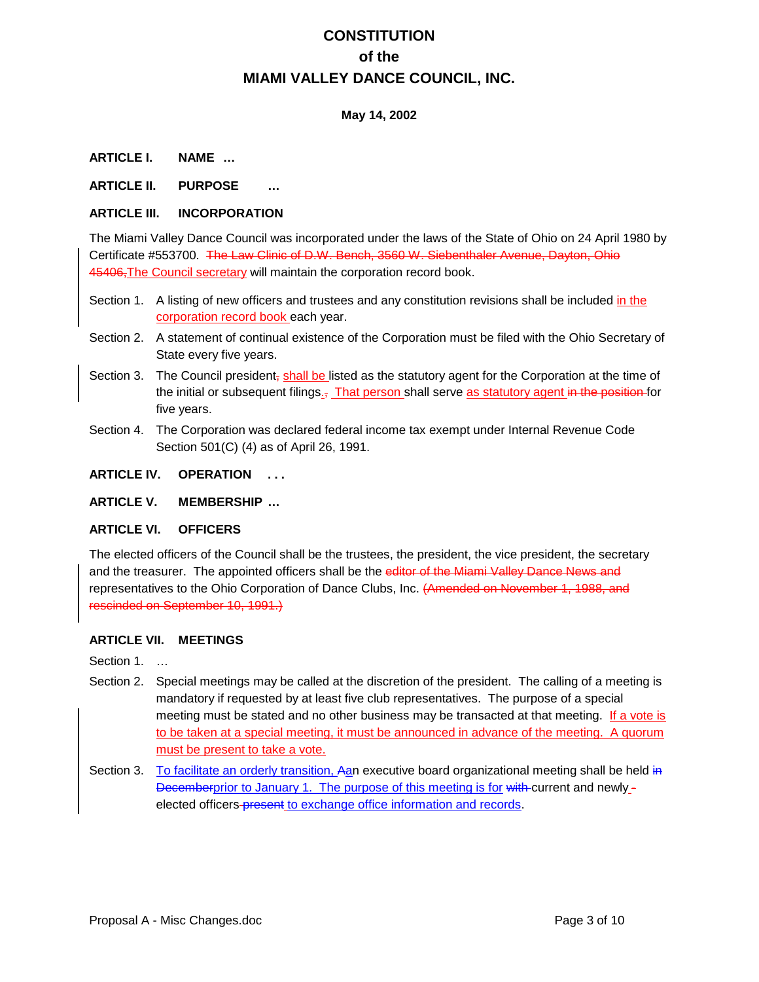# **CONSTITUTION of the MIAMI VALLEY DANCE COUNCIL, INC.**

### **May 14, 2002**

#### **ARTICLE I. NAME …**

#### **ARTICLE II. PURPOSE …**

#### **ARTICLE III. INCORPORATION**

The Miami Valley Dance Council was incorporated under the laws of the State of Ohio on 24 April 1980 by Certificate #553700. The Law Clinic of D.W. Bench, 3560 W. Siebenthaler Avenue, Dayton, Ohio 45406, The Council secretary will maintain the corporation record book.

- Section 1. A listing of new officers and trustees and any constitution revisions shall be included in the corporation record book each year.
- Section 2. A statement of continual existence of the Corporation must be filed with the Ohio Secretary of State every five years.
- Section 3. The Council president<sub>r</sub> shall be listed as the statutory agent for the Corporation at the time of the initial or subsequent filings.<sub>7</sub> That person shall serve as statutory agent in the position for five years.
- Section 4. The Corporation was declared federal income tax exempt under Internal Revenue Code Section 501(C) (4) as of April 26, 1991.

### **ARTICLE IV. OPERATION . . .**

#### **ARTICLE V. MEMBERSHIP …**

#### **ARTICLE VI. OFFICERS**

The elected officers of the Council shall be the trustees, the president, the vice president, the secretary and the treasurer. The appointed officers shall be the editor of the Miami Valley Dance News and representatives to the Ohio Corporation of Dance Clubs, Inc. (Amended on November 1, 1988, and rescinded on September 10, 1991.)

#### **ARTICLE VII. MEETINGS**

Section 1. ...

- Section 2. Special meetings may be called at the discretion of the president. The calling of a meeting is mandatory if requested by at least five club representatives. The purpose of a special meeting must be stated and no other business may be transacted at that meeting. If a vote is to be taken at a special meeting, it must be announced in advance of the meeting. A quorum must be present to take a vote.
- Section 3. To facilitate an orderly transition, Aan executive board organizational meeting shall be held in Decemberprior to January 1. The purpose of this meeting is for with current and newly elected officers-present to exchange office information and records.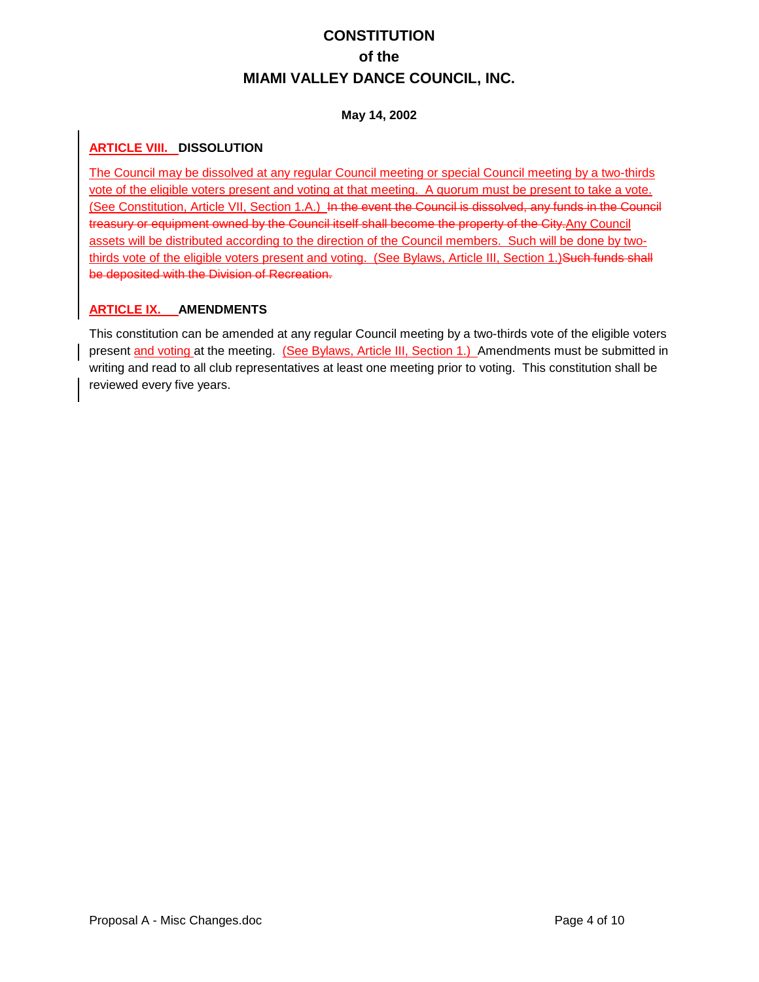# **CONSTITUTION of the MIAMI VALLEY DANCE COUNCIL, INC.**

### **May 14, 2002**

### **ARTICLE VIII. DISSOLUTION**

The Council may be dissolved at any regular Council meeting or special Council meeting by a two-thirds vote of the eligible voters present and voting at that meeting. A quorum must be present to take a vote. (See Constitution, Article VII, Section 1.A.) In the event the Council is dissolved, any funds in the Council treasury or equipment owned by the Council itself shall become the property of the City.Any Council assets will be distributed according to the direction of the Council members. Such will be done by twothirds vote of the eligible voters present and voting. (See Bylaws, Article III, Section 1.) Such funds shall be deposited with the Division of Recreation.

### **ARTICLE IX. AMENDMENTS**

This constitution can be amended at any regular Council meeting by a two-thirds vote of the eligible voters present and voting at the meeting. (See Bylaws, Article III, Section 1.) Amendments must be submitted in writing and read to all club representatives at least one meeting prior to voting. This constitution shall be reviewed every five years.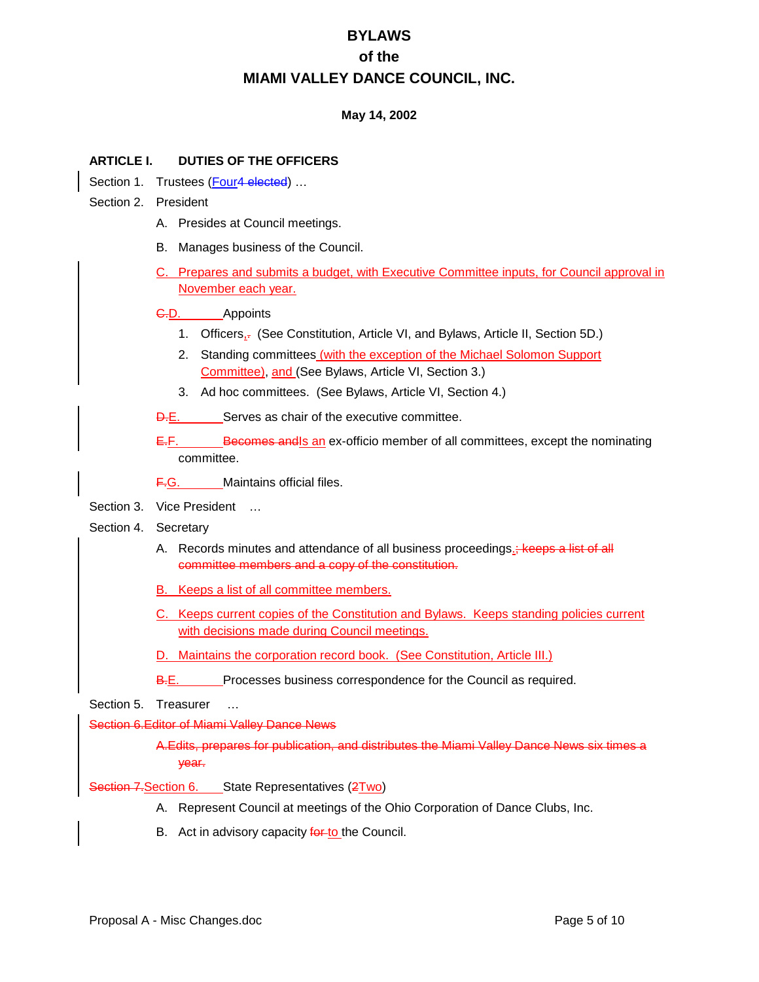### **May 14, 2002**

#### **ARTICLE I. DUTIES OF THE OFFICERS**

- Section 1. Trustees (Four4 elected) ...
- Section 2. President
	- A. Presides at Council meetings.
	- B. Manages business of the Council.
	- C. Prepares and submits a budget, with Executive Committee inputs, for Council approval in November each year.

#### C.D. Appoints

- 1. Officers<sub>1</sub>, (See Constitution, Article VI, and Bylaws, Article II, Section 5D.)
- 2. Standing committees (with the exception of the Michael Solomon Support Committee), and (See Bylaws, Article VI, Section 3.)
- 3. Ad hoc committees. (See Bylaws, Article VI, Section 4.)
- D.E. Serves as chair of the executive committee.
- E.F. Becomes andls an ex-officio member of all committees, except the nominating committee.
- F.G. Maintains official files.
- Section 3. Vice President ...

#### Section 4. Secretary

- A. Records minutes and attendance of all business proceedings.; keeps a list of all committee members and a copy of the constitution.
- B. Keeps a list of all committee members.
- C. Keeps current copies of the Constitution and Bylaws. Keeps standing policies current with decisions made during Council meetings.
- D. Maintains the corporation record book. (See Constitution, Article III.)
- B.E. Processes business correspondence for the Council as required.

### Section 5. Treasurer ...

Section 6.Editor of Miami Valley Dance News

A.Edits, prepares for publication, and distributes the Miami Valley Dance News six times a year.

Section 7. Section 6. State Representatives (2Two)

- A. Represent Council at meetings of the Ohio Corporation of Dance Clubs, Inc.
- B. Act in advisory capacity for to the Council.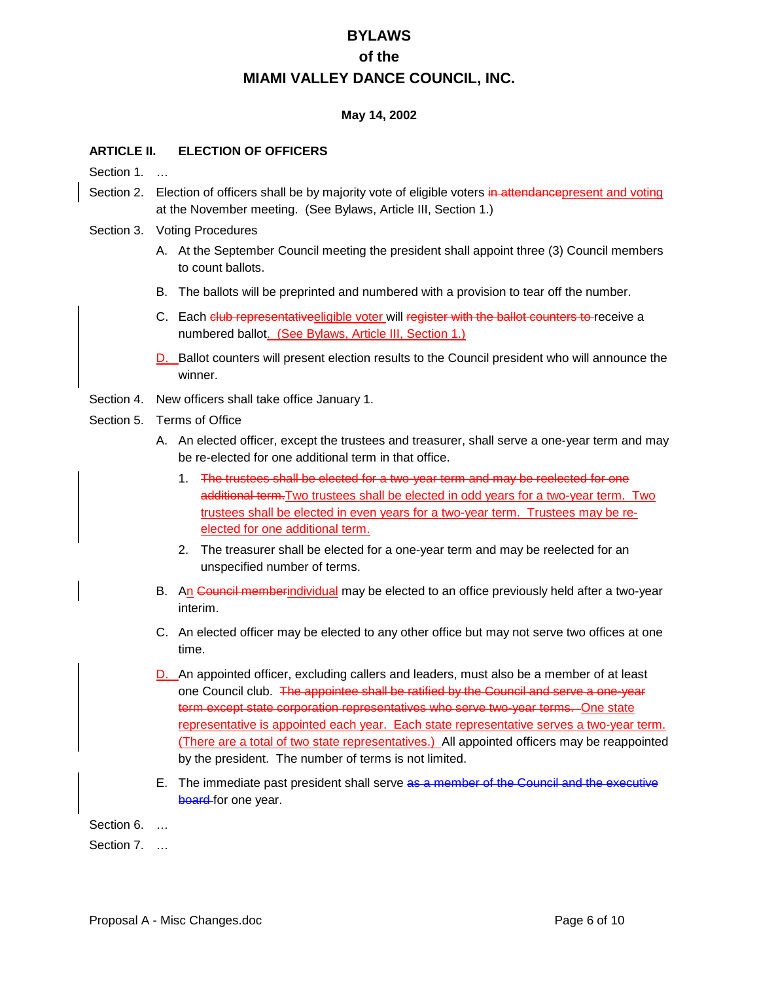#### **May 14, 2002**

#### **ARTICLE II. ELECTION OF OFFICERS**

Section 1. ...

- Section 2. Election of officers shall be by majority vote of eligible voters in attendance present and voting at the November meeting. (See Bylaws, Article III, Section 1.)
- Section 3. Voting Procedures
	- A. At the September Council meeting the president shall appoint three (3) Council members to count ballots.
	- B. The ballots will be preprinted and numbered with a provision to tear off the number.
	- C. Each club representativeeligible voter will register with the ballot counters to receive a numbered ballot. (See Bylaws, Article III, Section 1.)
	- D. Ballot counters will present election results to the Council president who will announce the winner.
- Section 4. New officers shall take office January 1.
- Section 5 Terms of Office
	- A. An elected officer, except the trustees and treasurer, shall serve a one-year term and may be re-elected for one additional term in that office.
		- 1. The trustees shall be elected for a two-year term and may be reelected for one additional term. Two trustees shall be elected in odd years for a two-year term. Two trustees shall be elected in even years for a two-year term. Trustees may be reelected for one additional term.
		- 2. The treasurer shall be elected for a one-year term and may be reelected for an unspecified number of terms.
	- B. An Council memberindividual may be elected to an office previously held after a two-year interim.
	- C. An elected officer may be elected to any other office but may not serve two offices at one time.
	- D. An appointed officer, excluding callers and leaders, must also be a member of at least one Council club. The appointee shall be ratified by the Council and serve a one-year term except state corporation representatives who serve two-year terms. One state representative is appointed each year. Each state representative serves a two-year term. (There are a total of two state representatives.) All appointed officers may be reappointed by the president. The number of terms is not limited.
	- E. The immediate past president shall serve as a member of the Council and the executive board for one year.

Section 6. …

Section 7. ...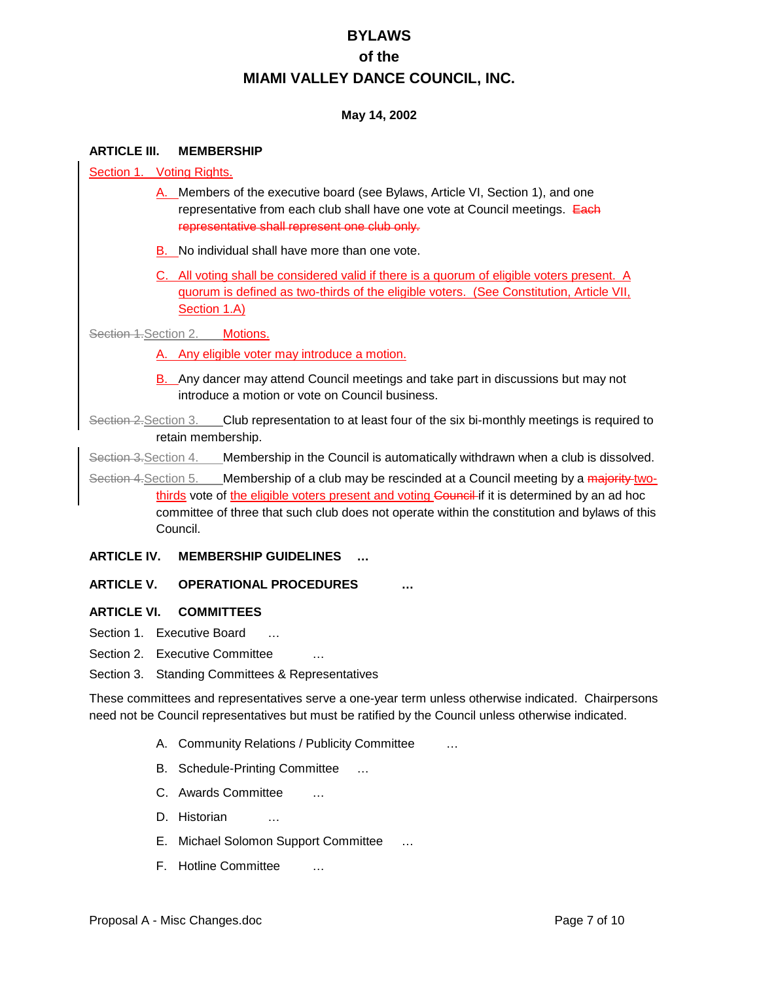#### **May 14, 2002**

#### **ARTICLE III. MEMBERSHIP**

Section 1. Voting Rights.

- A. Members of the executive board (see Bylaws, Article VI, Section 1), and one representative from each club shall have one vote at Council meetings. Each representative shall represent one club only.
- B. No individual shall have more than one vote.
- C. All voting shall be considered valid if there is a quorum of eligible voters present. A quorum is defined as two-thirds of the eligible voters. (See Constitution, Article VII, Section 1.A)

Section 1. Section 2. Motions.

- A. Any eligible voter may introduce a motion.
- B. Any dancer may attend Council meetings and take part in discussions but may not introduce a motion or vote on Council business.

Section 2. Section 3. Club representation to at least four of the six bi-monthly meetings is required to retain membership.

Section 3. Section 4. Membership in the Council is automatically withdrawn when a club is dissolved.

Section 4. Section 5. Membership of a club may be rescinded at a Council meeting by a majority twothirds vote of the eligible voters present and voting Council if it is determined by an ad hoc committee of three that such club does not operate within the constitution and bylaws of this Council.

#### **ARTICLE IV. MEMBERSHIP GUIDELINES …**

#### **ARTICLE V. OPERATIONAL PROCEDURES …**

**ARTICLE VI. COMMITTEES**

- Section 1. Executive Board ...
- Section 2. Executive Committee
- Section 3. Standing Committees & Representatives

These committees and representatives serve a one-year term unless otherwise indicated. Chairpersons need not be Council representatives but must be ratified by the Council unless otherwise indicated.

- A. Community Relations / Publicity Committee …
- B. Schedule-Printing Committee …
- C. Awards Committee …
- D. Historian
- E. Michael Solomon Support Committee …
- F. Hotline Committee …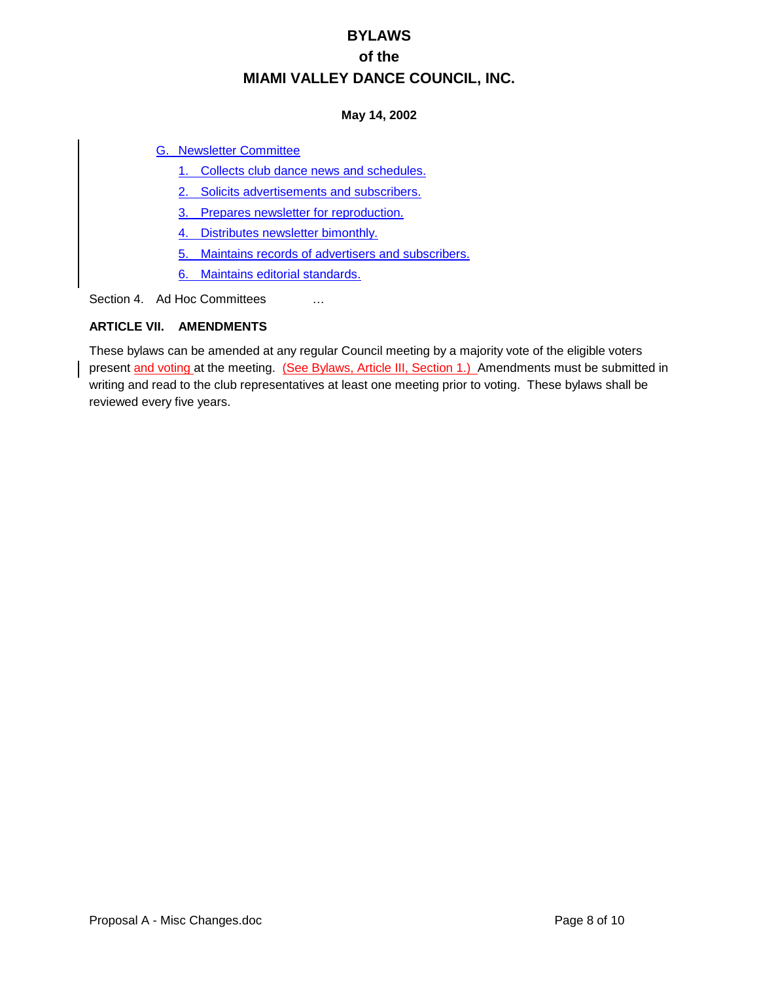### **May 14, 2002**

### G. Newsletter Committee

- 1. Collects club dance news and schedules.
- 2. Solicits advertisements and subscribers.
- 3. Prepares newsletter for reproduction.
- 4. Distributes newsletter bimonthly.
- 5. Maintains records of advertisers and subscribers.
- 6. Maintains editorial standards.

Section 4. Ad Hoc Committees ...

### **ARTICLE VII. AMENDMENTS**

These bylaws can be amended at any regular Council meeting by a majority vote of the eligible voters present and voting at the meeting. (See Bylaws, Article III, Section 1.) Amendments must be submitted in writing and read to the club representatives at least one meeting prior to voting. These bylaws shall be reviewed every five years.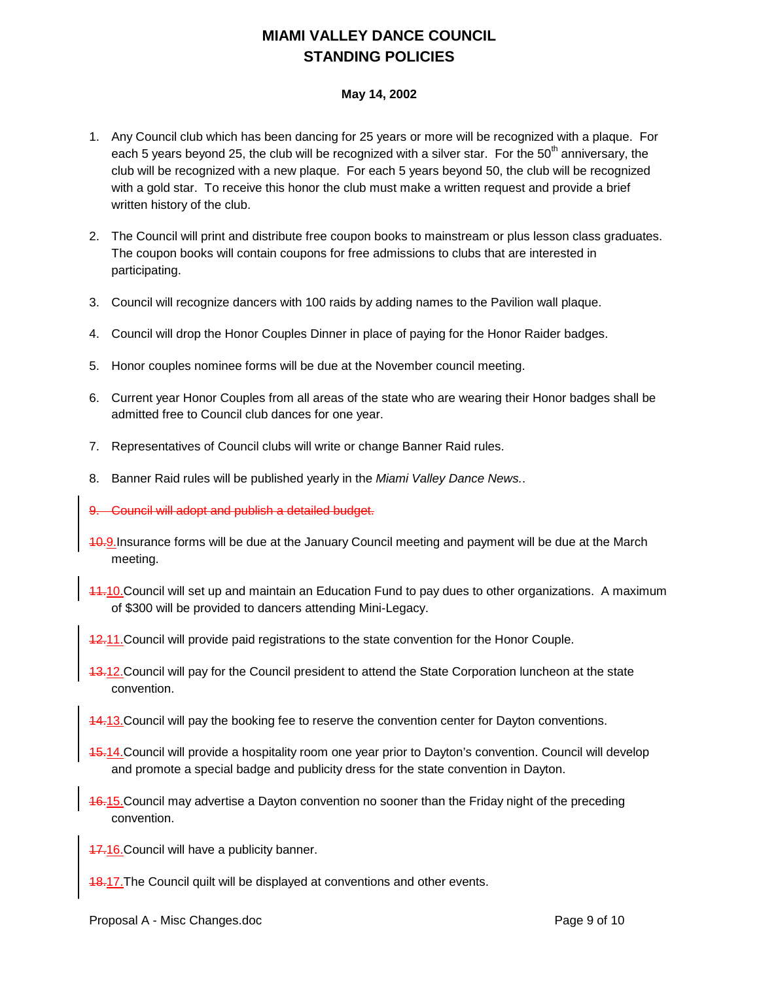# **MIAMI VALLEY DANCE COUNCIL STANDING POLICIES**

#### **May 14, 2002**

- 1. Any Council club which has been dancing for 25 years or more will be recognized with a plaque. For each 5 years beyond 25, the club will be recognized with a silver star. For the 50<sup>th</sup> anniversary, the club will be recognized with a new plaque. For each 5 years beyond 50, the club will be recognized with a gold star. To receive this honor the club must make a written request and provide a brief written history of the club.
- 2. The Council will print and distribute free coupon books to mainstream or plus lesson class graduates. The coupon books will contain coupons for free admissions to clubs that are interested in participating.
- 3. Council will recognize dancers with 100 raids by adding names to the Pavilion wall plaque.
- 4. Council will drop the Honor Couples Dinner in place of paying for the Honor Raider badges.
- 5. Honor couples nominee forms will be due at the November council meeting.
- 6. Current year Honor Couples from all areas of the state who are wearing their Honor badges shall be admitted free to Council club dances for one year.
- 7. Representatives of Council clubs will write or change Banner Raid rules.
- 8. Banner Raid rules will be published yearly in the *Miami Valley Dance News.*.
- 9. Council will adopt and publish a detailed budget.
- 10.9.Insurance forms will be due at the January Council meeting and payment will be due at the March meeting.
- 11.10.Council will set up and maintain an Education Fund to pay dues to other organizations. A maximum of \$300 will be provided to dancers attending Mini-Legacy.
- 12.11. Council will provide paid registrations to the state convention for the Honor Couple.
- 13.12.Council will pay for the Council president to attend the State Corporation luncheon at the state convention.
- 14.13.Council will pay the booking fee to reserve the convention center for Dayton conventions.
- 15.14.Council will provide a hospitality room one year prior to Dayton's convention. Council will develop and promote a special badge and publicity dress for the state convention in Dayton.
- 16.15.Council may advertise a Dayton convention no sooner than the Friday night of the preceding convention.

17.16.Council will have a publicity banner.

**18.17. The Council quilt will be displayed at conventions and other events.**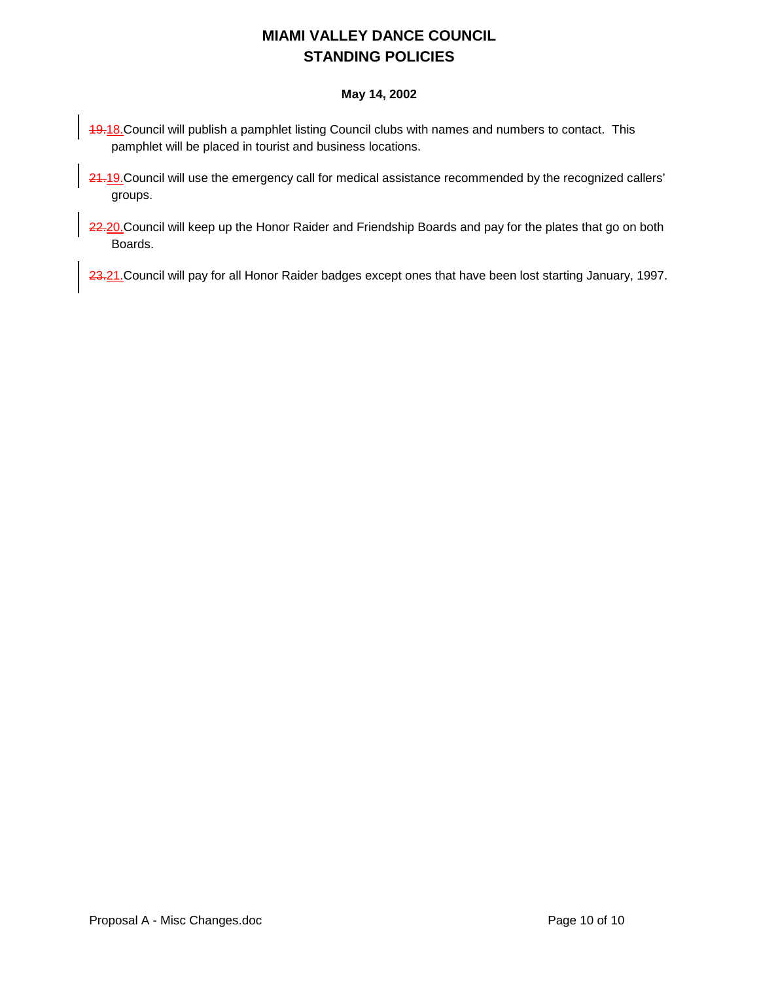# **MIAMI VALLEY DANCE COUNCIL STANDING POLICIES**

### **May 14, 2002**

- 19.18. Council will publish a pamphlet listing Council clubs with names and numbers to contact. This pamphlet will be placed in tourist and business locations.
- 24.19. Council will use the emergency call for medical assistance recommended by the recognized callers' groups.
- 22.20. Council will keep up the Honor Raider and Friendship Boards and pay for the plates that go on both Boards.

23.21. Council will pay for all Honor Raider badges except ones that have been lost starting January, 1997.